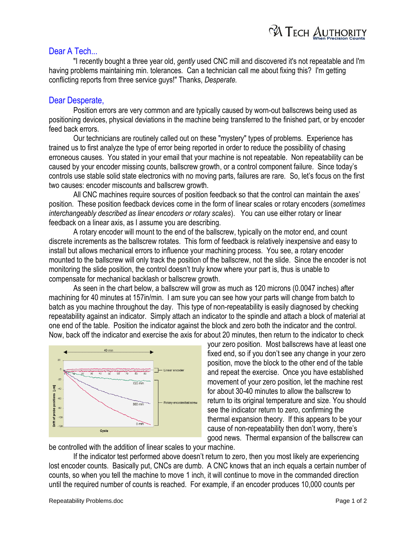

## Dear A Tech...

"I recently bought a three year old, *gently* used CNC mill and discovered it's not repeatable and I'm having problems maintaining min. tolerances. Can a technician call me about fixing this? I'm getting conflicting reports from three service guys!" Thanks, *Desperate.*

## Dear Desperate,

Position errors are very common and are typically caused by worn-out ballscrews being used as positioning devices, physical deviations in the machine being transferred to the finished part, or by encoder feed back errors.

Our technicians are routinely called out on these "mystery" types of problems. Experience has trained us to first analyze the type of error being reported in order to reduce the possibility of chasing erroneous causes. You stated in your email that your machine is not repeatable. Non repeatability can be caused by your encoder missing counts, ballscrew growth, or a control component failure. Since today's controls use stable solid state electronics with no moving parts, failures are rare. So, let's focus on the first two causes: encoder miscounts and ballscrew growth.

All CNC machines require sources of position feedback so that the control can maintain the axes' position. These position feedback devices come in the form of linear scales or rotary encoders (*sometimes interchangeably described as linear encoders or rotary scales*). You can use either rotary or linear feedback on a linear axis, as I assume you are describing.

A rotary encoder will mount to the end of the ballscrew, typically on the motor end, and count discrete increments as the ballscrew rotates. This form of feedback is relatively inexpensive and easy to install but allows mechanical errors to influence your machining process. You see, a rotary encoder mounted to the ballscrew will only track the position of the ballscrew, not the slide. Since the encoder is not monitoring the slide position, the control doesn't truly know where your part is, thus is unable to compensate for mechanical backlash or ballscrew growth.

As seen in the chart below, a ballscrew will grow as much as 120 microns (0.0047 inches) after machining for 40 minutes at 157in/min. I am sure you can see how your parts will change from batch to batch as you machine throughout the day. This type of non-repeatability is easily diagnosed by checking repeatability against an indicator. Simply attach an indicator to the spindle and attach a block of material at one end of the table. Position the indicator against the block and zero both the indicator and the control. Now, back off the indicator and exercise the axis for about 20 minutes, then return to the indicator to check



your zero position. Most ballscrews have at least one fixed end, so if you don't see any change in your zero position, move the block to the other end of the table and repeat the exercise. Once you have established movement of your zero position, let the machine rest for about 30-40 minutes to allow the ballscrew to return to its original temperature and size. You should see the indicator return to zero, confirming the thermal expansion theory. If this appears to be your cause of non-repeatability then don't worry, there's good news. Thermal expansion of the ballscrew can

be controlled with the addition of linear scales to your machine.

If the indicator test performed above doesn't return to zero, then you most likely are experiencing lost encoder counts. Basically put, CNCs are dumb. A CNC knows that an inch equals a certain number of counts, so when you tell the machine to move 1 inch, it will continue to move in the commanded direction until the required number of counts is reached. For example, if an encoder produces 10,000 counts per